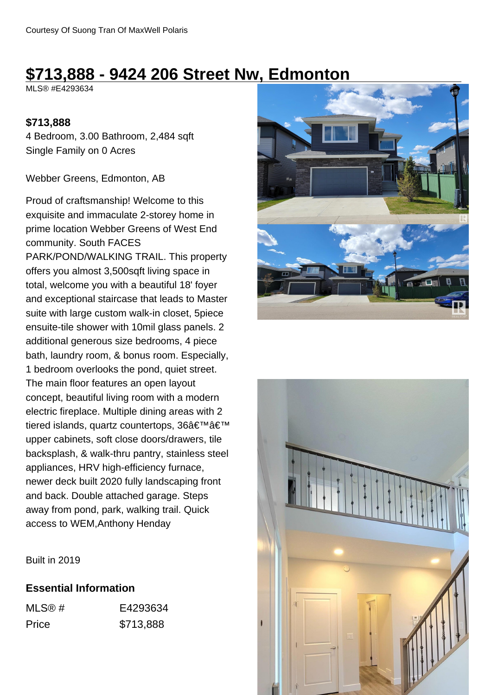# **\$713,888 - 9424 206 Street Nw, Edmonton**

MLS® #E4293634

#### **\$713,888**

4 Bedroom, 3.00 Bathroom, 2,484 sqft Single Family on 0 Acres

Webber Greens, Edmonton, AB

Proud of craftsmanship! Welcome to this exquisite and immaculate 2-storey home in prime location Webber Greens of West End community. South FACES PARK/POND/WALKING TRAIL. This property offers you almost 3,500sqft living space in total, welcome you with a beautiful 18' foyer and exceptional staircase that leads to Master suite with large custom walk-in closet, 5piece ensuite-tile shower with 10mil glass panels. 2 additional generous size bedrooms, 4 piece bath, laundry room, & bonus room. Especially, 1 bedroom overlooks the pond, quiet street. The main floor features an open layout concept, beautiful living room with a modern electric fireplace. Multiple dining areas with 2 tiered islands, quartz countertops, 36'' upper cabinets, soft close doors/drawers, tile backsplash, & walk-thru pantry, stainless steel appliances, HRV high-efficiency furnace, newer deck built 2020 fully landscaping front and back. Double attached garage. Steps away from pond, park, walking trail. Quick access to WEM,Anthony Henday





Built in 2019

#### **Essential Information**

MLS® # E4293634 Price \$713,888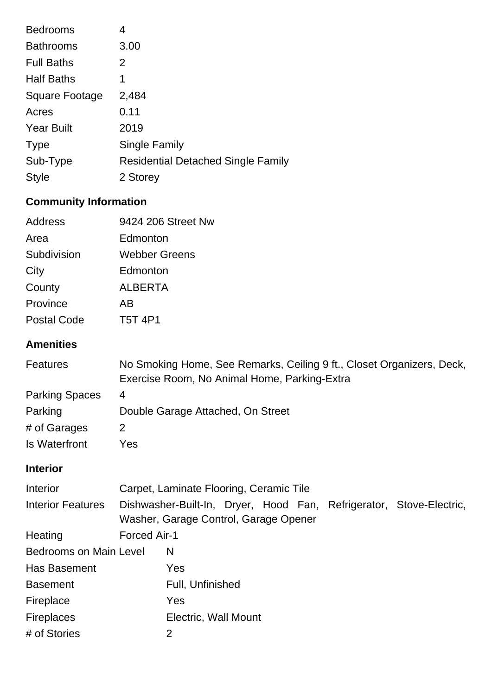| <b>Bedrooms</b>   | 4                                         |
|-------------------|-------------------------------------------|
| <b>Bathrooms</b>  | 3.00                                      |
| <b>Full Baths</b> | 2                                         |
| <b>Half Baths</b> | 1                                         |
| Square Footage    | 2,484                                     |
| Acres             | 0.11                                      |
| <b>Year Built</b> | 2019                                      |
| <b>Type</b>       | <b>Single Family</b>                      |
| Sub-Type          | <b>Residential Detached Single Family</b> |
| <b>Style</b>      | 2 Storey                                  |
|                   |                                           |

# **Community Information**

| Address            | 9424 206 Street Nw |
|--------------------|--------------------|
| Area               | Edmonton           |
| Subdivision        | Webber Greens      |
| City               | Edmonton           |
| County             | <b>ALBERTA</b>     |
| Province           | AΒ                 |
| <b>Postal Code</b> | T5T 4P1            |

## **Amenities**

| <b>Features</b>       | No Smoking Home, See Remarks, Ceiling 9 ft., Closet Organizers, Deck, |
|-----------------------|-----------------------------------------------------------------------|
|                       | Exercise Room, No Animal Home, Parking-Extra                          |
| <b>Parking Spaces</b> | 4                                                                     |
| Parking               | Double Garage Attached, On Street                                     |
| # of Garages          |                                                                       |
| Is Waterfront         | Yes                                                                   |

## **Interior**

| Interior                      | Carpet, Laminate Flooring, Ceramic Tile                                                                      |                      |  |  |  |  |
|-------------------------------|--------------------------------------------------------------------------------------------------------------|----------------------|--|--|--|--|
| <b>Interior Features</b>      | Dishwasher-Built-In, Dryer, Hood Fan, Refrigerator, Stove-Electric,<br>Washer, Garage Control, Garage Opener |                      |  |  |  |  |
| Heating                       | Forced Air-1                                                                                                 |                      |  |  |  |  |
| <b>Bedrooms on Main Level</b> |                                                                                                              | N                    |  |  |  |  |
| Has Basement                  |                                                                                                              | <b>Yes</b>           |  |  |  |  |
| <b>Basement</b>               |                                                                                                              | Full, Unfinished     |  |  |  |  |
| Fireplace                     |                                                                                                              | <b>Yes</b>           |  |  |  |  |
| <b>Fireplaces</b>             |                                                                                                              | Electric, Wall Mount |  |  |  |  |
| # of Stories                  |                                                                                                              | 2                    |  |  |  |  |